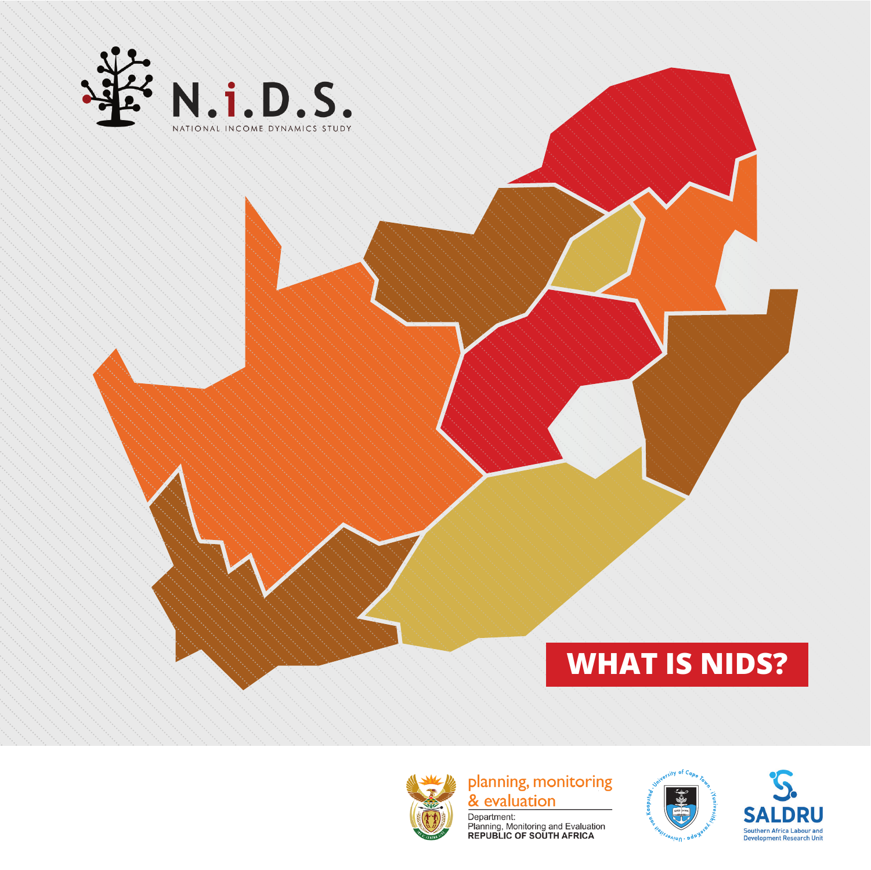

#### **WHAT IS NIDS?**



planning, monitoring & evaluation

Department:<br>Planning, Monitoring and Evaluation<br>REPUBLIC OF SOUTH AFRICA



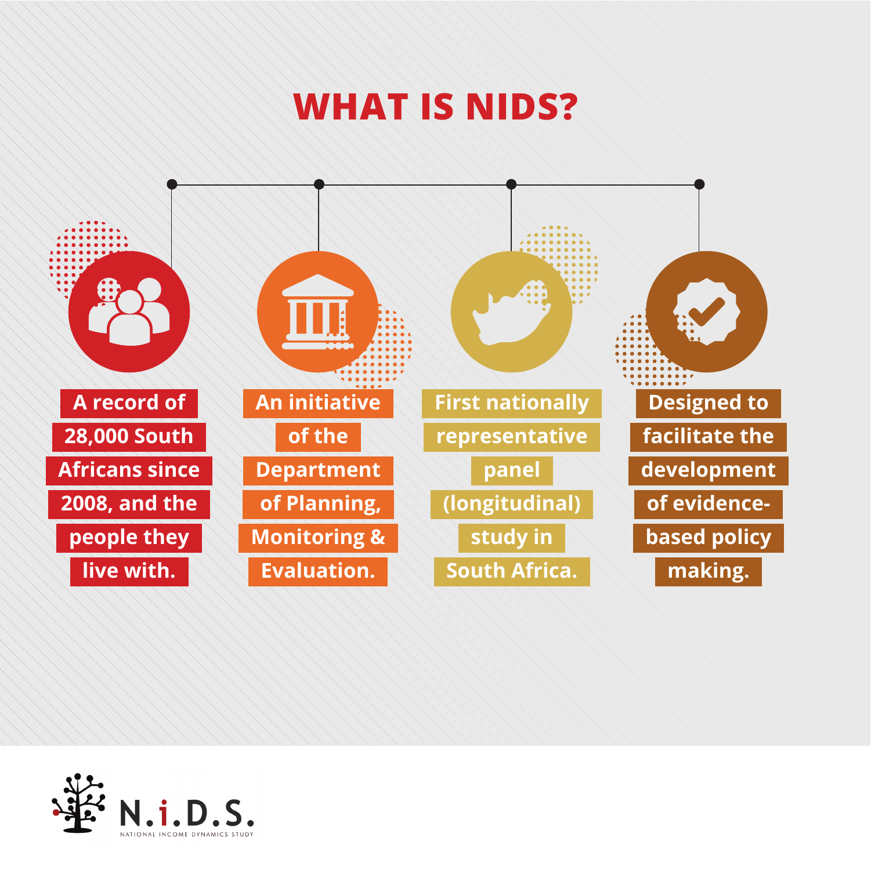



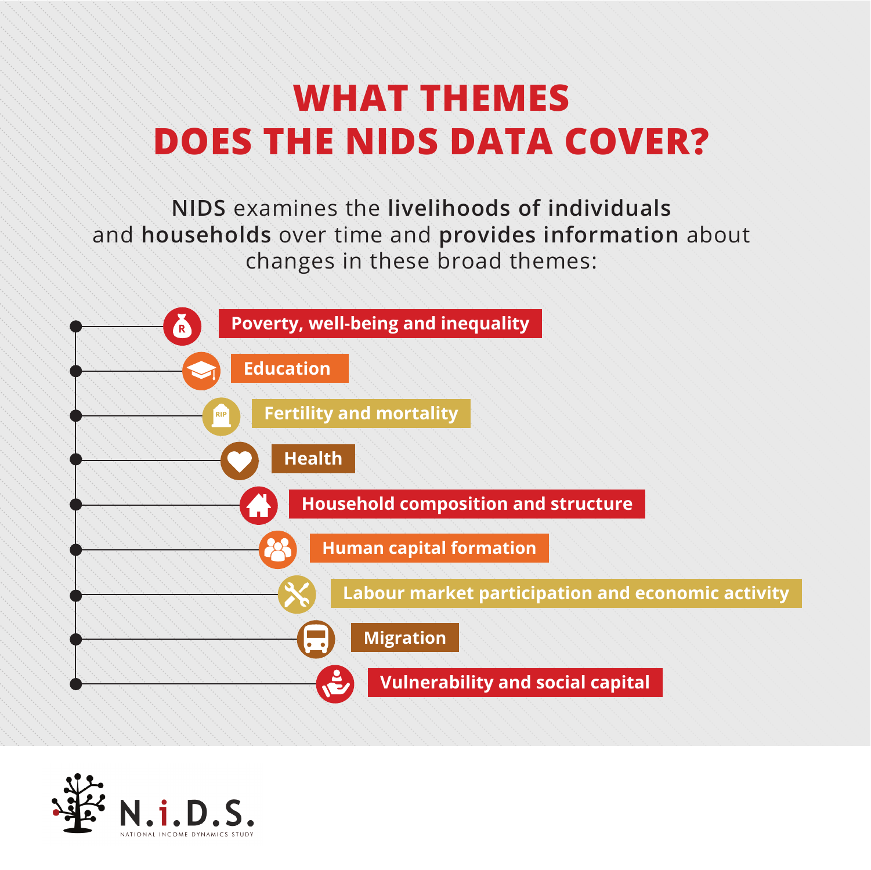### **WHAT THEMES DOES THE NIDS DATA COVER?**

**NIDS** examines the **livelihoods of individuals** and **households** over time and **provides information** about changes in these broad themes:



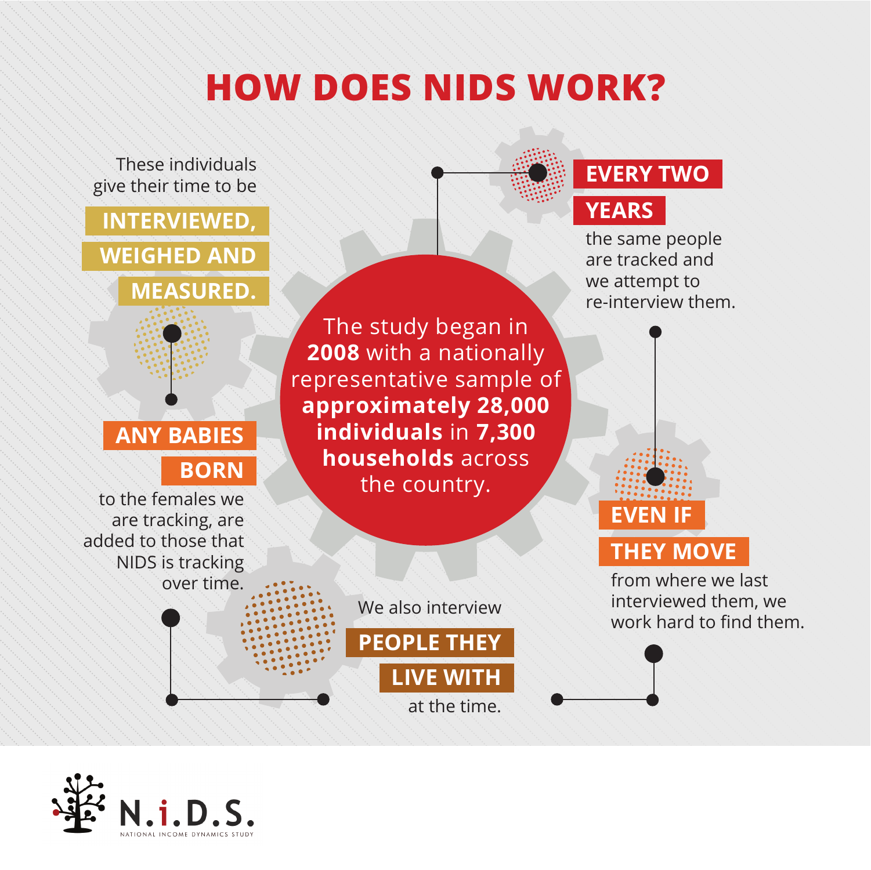# **HOW DOES NIDS WORK?**



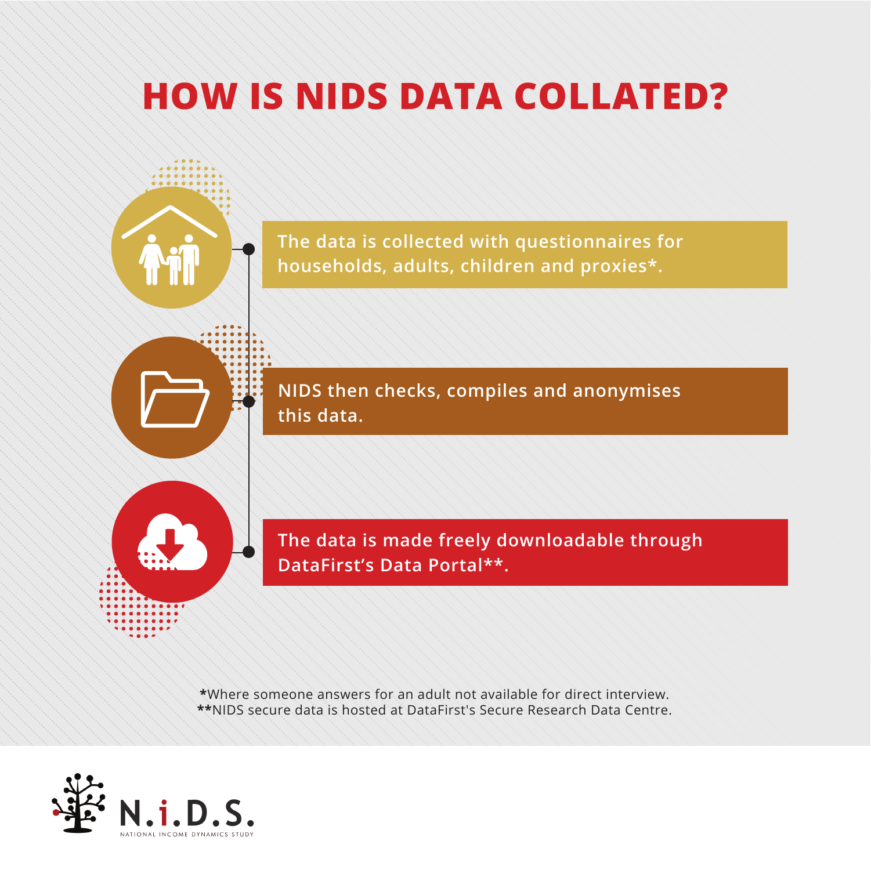## **HOW IS NIDS DATA COLLATED?**

**The data is collected with questionnaires for households, adults, children and proxies\*.** 

**NIDS then checks, compiles and anonymises this data.** 

**The data is made freely downloadable through DataFirst's Data Portal\*\*.**

**\***Where someone answers for an adult not available for direct interview. **\*\***NIDS secure data is hosted at DataFirst's Secure Research Data Centre.

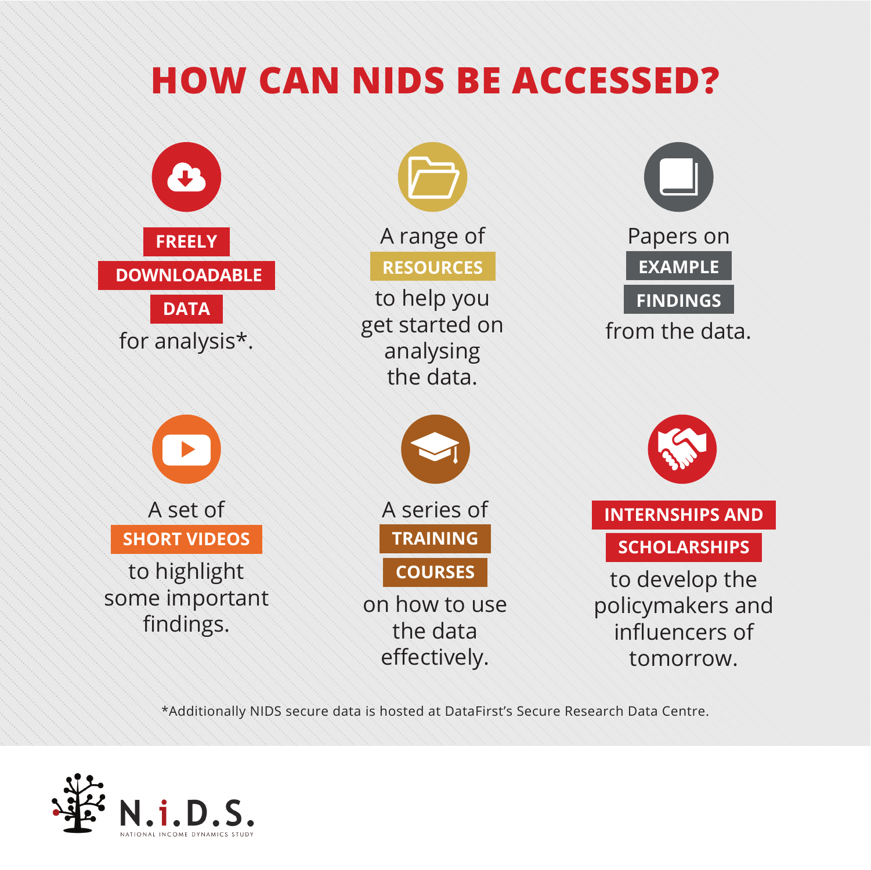### **HOW CAN NIDS BE ACCESSED?**



\*Additionally NIDS secure data is hosted at DataFirst's Secure Research Data Centre.